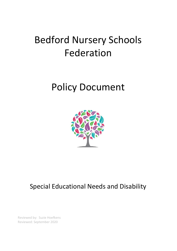# Bedford Nursery Schools Federation

## Policy Document



### Special Educational Needs and Disability

Reviewed by: Suzie Hoefkens Reviewed: September 2020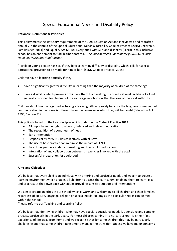#### **Rationale, Definitions & Principles**

This policy meets the statutory requirements of the 1996 Education Act and is reviewed and redrafted annually in the context of the Special Educational Needs & Disability Code of Practice (2015) Children & Families Act (2014) and Equality Act (2010). Every pupil with SEN and disability (SEND) in this inclusive school has an entitlement to fulfil his/her potential. *The Special Needs Coordinator (SENDCO) is Suzie Hoefkens (Assistant Headteacher).*

'A child or young person has SEN if they have a learning difficulty or disability which calls for special educational provision to be made for him or her.' (SEND Code of Practice, 2015).

Children have a learning difficulty if they:

- have a significantly greater difficulty in learning than the majority of children of the same age
- have a disability which prevents or hinders them from making use of educational facilities of a kind generally provided for children of the same age in schools within the area of the local authority

Children should not be regarded as having a learning difficulty solely because the language or medium of communication in the home is different from the language in which they will be taught (Education Act 1996, Section 312)

This policy is based on the key principles which underpin the **Code of Practice 2015**

- All pupils have the right to a broad, balanced and relevant education
- The recognition of a continuum of need
- Early intervention
- Responsibility for SEND lies collectively with all staff
- The use of best practice can minimise the impact of SEND
- Parents as partners in decision-making and their child's education
- Integration of and collaboration between all agencies involved with the pupil
- Successful preparation for adulthood

#### **Aims and Objectives**

We believe that every child is an individual with differing and particular needs and we aim to create a learning environment which enables all children to access the curriculum, enabling them to learn, play and progress at their own pace with adults providing sensitive support and interventions.

We aim to create an ethos in our school which is warm and welcoming to all children and their families, regardless of culture, language, religion or special needs, so long as the particular needs can be met within the school.

(Please refer to our Teaching and Learning Policy)

We believe that identifying children who may have special educational needs is a sensitive and complex process, particularly in the early years. For most children coming into nursery school, it is their first experience of life away from home and we recognise that for some children this may be particularly challenging and that some children take time to manage the transition. Unless we have major concerns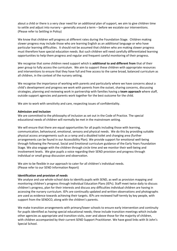about a child or there is a very clear need for an additional plan of support, we aim to give children time to settle and adjust into nursery – generally around a term – before we escalate our interventions. (Please refer to Settling in Policy)

We know that children will progress at different rates during the Foundation Stage. Children making slower progress may include those who are learning English as an additional language or who have particular learning difficulties. It should not be assumed that children who are making slower progress must therefore have special education needs. But such children will need carefully differentiated learning opportunities to help them progress and regular and frequent careful monitoring of their progress.

We recognise that some children need support which is **additional to and different from** that of their peer group to fully access the curriculum. We aim to support these children with appropriate resources and interventions to ensure that they have full and free access to the same broad, balanced curriculum as all children, in the context of the nursery setting.

We recognise the importance of working with parents and particularly where we have concerns about a child's development and progress we work with parents from the outset, sharing concerns, discussing strategies, planning and reviewing work in partnership with families having a **team approach** where staff, outside support agencies and parents work together for the best outcome for the child.

We aim to work with sensitivity and care, respecting issues of confidentiality.

#### **Admission and Inclusion**

We are committed to the philosophy of inclusion as set out in the Code of Practice. The special educational needs of children will normally be met in the mainstream setting.

We will ensure that there are equal opportunities for all pupils including those with learning, communication, behavioural, emotional, sensory and physical needs. We do this by providing suitable physical access arrangements such as a ramp and a disabled toilet and changing area (further arrangements can be found in our Accessibility Plan). We provide support for emotional well-being through following the Personal, Social and Emotional curriculum guidance of the Early Years Foundation Stage. We also engage with the children through circle time and we monitor their well-being and involvement levels. We give pupils a voice regarding their SEND provision and progress through individual or small group discussion and observation.

We aim to be flexible in our approach to cater for all children's individual needs. (Please refer to our SEND Information Report)

#### **Identification and provision of needs**

We analyse and use whole-school data to identify pupils with SEND, as well as provision mapping and monitoring children's progress through Individual Education Plans (IEPs). Staff meet twice daily to discuss children's progress, plan for their interests and discuss any difficulties individual children are having in accessing the nursery curriculum. IEPs are continually updated and written observations and photographs are used as evidence towards achieving their targets. IEPs are reviewed half-termly by key people, with support from the SENDCO, along with the children's parents.

We make transition arrangements with primary/lower schools to ensure early intervention and continuity for pupils identified as having special educational needs; these include transition meetings which include other agencies as appropriate and transition visits, over and above those for the majority of children, with children accompanied by their current SEND Support Practitioner. We have good links with St John's Special School.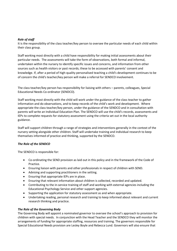#### *Role of staff*

It is the responsibility of the class teacher/key person to oversee the particular needs of each child within their class group.

Staff working most directly with a child have responsibility for making initial assessments about their particular needs. The assessments will take the form of observations, both formal and informal, undertaken within the nursery to identify specific issues and concerns, and information from other sources such as health visitors or past records; these to be accessed with parents' consent and knowledge. If, after a period of high-quality personalised teaching a child's development continues to be of concern the child's teacher/key person will make a referral for SENDCO involvement.

The class teacher/key person has responsibility for liaising with others – parents, colleagues, Special Educational Needs Co-ordinator (SENDCO).

Staff working most directly with the child will work under the guidance of the class teacher to gather information and do observations, and to keep records of the child's work and development. Where appropriate the class teacher/key person, under the guidance of the SENDCO and in consultation with parents will write an Individual Education Plan. The SENDCO will use the child's records, assessments and IEPs to complete requests for statutory assessment using the criteria set out in the local authority guidance.

Staff will support children through a range of strategies and interventions generally in the context of the nursery setting alongside other children. Staff will undertake training and individual research to keep themselves informed of practice and thinking, supported by the SENDCO.

#### *The Role of the SENDCO*

The SENDCO is responsible for:

- Co-ordinating the SEND provision as laid out in this policy and in the framework of the Code of Practice.
- Ensuring liaison with parents and other professionals in respect of children with SEND.
- Advising and supporting practitioners in the setting.
- Ensuring that appropriate IEPs are in place.
- Ensuring that relevant information about children is collected, recorded and updated.
- Contributing to the in-service training of staff and working with external agencies including the Educational Psychology Service and other support agencies.
- Supporting the application for statutory assessment as and when appropriate.
- Undertaking reading, personal research and training to keep informed about relevant and current research thinking and practice.

#### *The Role of the Governing Body*

The Governing Body will appoint a nominated governor to oversee the school's approach to provision for children with special needs. In conjunction with the Head Teacher and the SENDCO they will monitor the arrangements of funding for appropriate staffing, resources and training. The governors responsible for Special Educational Needs provision are Lesley Boyle and Rebecca Lund. Governors will also ensure that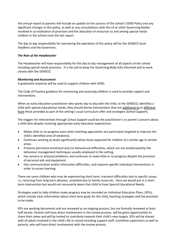the annual report to parents will include an update on the success of the school's SEND Policy and any significant changes in this policy, as well as any consultations with the LA or other Governing Bodies involved in co-ordination of provision and the allocation of resources to and among special needs children in the school since the last report.

The day to day responsibility for overseeing the operation of this policy will be the *SENDCO Suzie Hoefkens* and the Governors.

#### *The Role of the Headteacher*

The Headteacher will have responsibility for the day to day management of all aspects of the school including special needs provision. It is her job to keep the Governing Body fully informed and to work closely with the SENDCO.

#### *Monitoring and Assessment*

A graduated response will be used to support children with SEND.

The Code of Practice guidance for monitoring and assessing children is used to provide support and interventions.

When an early education practitioner who works day to day with the child, or the SENDCO, identifies a child with special educational needs, they should devise interventions that are additional to or different from those provided as part of the setting's usual curriculum offer and strategies (*School Support*).

The triggers for intervention through *School Support* could be the practitioner's or parent's concern about a child who despite receiving appropriate early education experiences:

- Makes little or no progress even when teaching approaches are particularly targeted to improve the child's identified area of weakness.
- Continues working at levels significantly below those expected for children of a similar age in certain areas.
- Presents persistent emotional and /or behavioural difficulties, which are not ameliorated by the behaviour management techniques usually employed in the setting.
- Has sensory or physical problems, and continues to make little or no progress despite the provision of personal aids and equipment.
- Has communication and/or interaction difficulties, and requires specific individual interventions in order to access learning.

There are some children who may be experiencing short term, transient difficulties due to specific issues, i.e. returning from long term absence, unsettled due to family issues etc. Here we would put in a short term intervention but would not necessarily deem that child to have Special Educational Needs.

Strategies used to help children make progress may be recorded on Individual Education Plans, (IEPs), which include clear information about short term goals for the child, teaching strategies and the provision to be made.

IEPs are working documents and are reviewed as an ongoing process, but are formally reviewed at least half*-*termly. Parents will have direct involvement in the review process, will be given opportunities to share their views and will be invited to contribute towards their child's new targets. IEPs will be shared with all adults involved in the child's life in school including support staff, lunchtime supervisors as well as parents, who will have direct involvement with the review process.